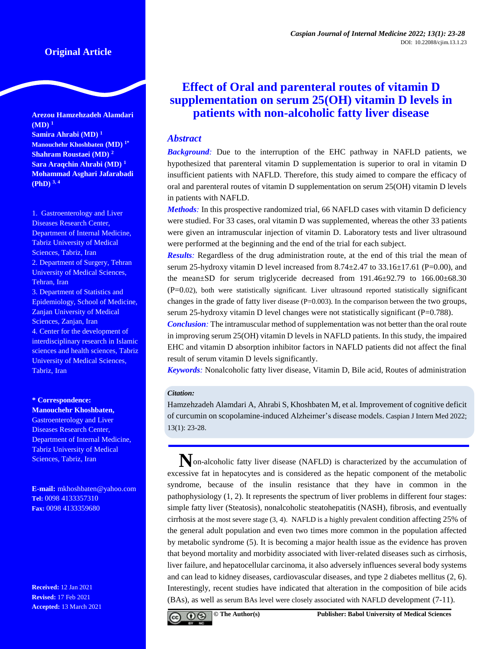## **Original Article**

**Arezou Hamzehzadeh Alamdari (MD) <sup>1</sup> Samira Ahrabi (MD) <sup>1</sup> Manouchehr Khoshbaten (MD) 1\* Shahram Roustaei (MD) <sup>2</sup> Sara Araqchin Ahrabi (MD) <sup>1</sup> Mohammad Asghari Jafarabadi (PhD) 3, 4**

1. Gastroenterology and Liver Diseases Research Center, Department of Internal Medicine, Tabriz University of Medical Sciences, Tabriz, Iran 2. Department of Surgery, Tehran University of Medical Sciences, Tehran, Iran 3. Department of Statistics and Epidemiology, School of Medicine, Zanjan University of Medical Sciences, Zanjan, Iran 4. Center for the development of interdisciplinary research in Islamic sciences and health sciences, Tabriz University of Medical Sciences, Tabriz, Iran

# **\* Correspondence:**

**Manouchehr Khoshbaten,**  Gastroenterology and Liver Diseases Research Center, Department of Internal Medicine, Tabriz University of Medical Sciences, Tabriz, Iran

**E-mail:** mkhoshbaten@yahoo.com **Tel:** 0098 4133357310 **Fax:** 0098 4133359680

**Received:** 12 Jan 2021 **Revised:** 17 Feb 2021 **Accepted:** 13 March 2021

# **Effect of Oral and parenteral routes of vitamin D supplementation on serum 25(OH) vitamin D levels in patients with non-alcoholic fatty liver disease**

## *Abstract*

*Background:* Due to the interruption of the EHC pathway in NAFLD patients, we hypothesized that parenteral vitamin D supplementation is superior to oral in vitamin D insufficient patients with NAFLD. Therefore, this study aimed to compare the efficacy of oral and parenteral routes of vitamin D supplementation on serum 25(OH) vitamin D levels in patients with NAFLD.

*Methods:* In this prospective randomized trial, 66 NAFLD cases with vitamin D deficiency were studied. For 33 cases, oral vitamin D was supplemented, whereas the other 33 patients were given an intramuscular injection of vitamin D*.* Laboratory tests and liver ultrasound were performed at the beginning and the end of the trial for each subject.

*Results:* Regardless of the drug administration route, at the end of this trial the mean of serum 25-hydroxy vitamin D level increased from  $8.74 \pm 2.47$  to  $33.16 \pm 17.61$  (P=0.00), and the mean $\pm$ SD for serum triglyceride decreased from 191.46 $\pm$ 92.79 to 166.00 $\pm$ 68.30 (P=0.02), both were statistically significant. Liver ultrasound reported statistically significant changes in the grade of fatty liver disease (P=0.003). In the comparison between the two groups, serum 25-hydroxy vitamin D level changes were not statistically significant (P=0.788).

*Conclusion:* The intramuscular method of supplementation was not better than the oral route in improving serum 25(OH) vitamin D levels in NAFLD patients. In this study, the impaired EHC and vitamin D absorption inhibitor factors in NAFLD patients did not affect the final result of serum vitamin D levels significantly.

*Keywords:* Nonalcoholic fatty liver disease, Vitamin D, Bile acid, Routes of administration

### *Citation:*

Hamzehzadeh Alamdari A, Ahrabi S, Khoshbaten M, et al. Improvement of cognitive deficit of curcumin on scopolamine-induced Alzheimer's disease models. Caspian J Intern Med 2022; 13(1): 23-28.

**N**on-alcoholic fatty liver disease (NAFLD) is characterized by the accumulation of excessive fat in hepatocytes and is considered as the hepatic component of the metabolic syndrome, because of the insulin resistance that they have in common in the pathophysiology (1, 2). It represents the spectrum of liver problems in different four stages: simple fatty liver (Steatosis), nonalcoholic steatohepatitis (NASH), fibrosis, and eventually cirrhosis at the most severe stage (3, 4). NAFLD is a highly prevalent condition affecting 25% of the general adult population and even two times more common in the population affected by metabolic syndrome (5). It is becoming a major health issue as the evidence has proven that beyond mortality and morbidity associated with liver-related diseases such as cirrhosis, liver failure, and hepatocellular carcinoma, it also adversely influences several body systems and can lead to kidney diseases, cardiovascular diseases, and type 2 diabetes mellitus (2, 6). Interestingly, recent studies have indicated that alteration in the composition of bile acids (BAs), as well as serum BAs level were closely associated with NAFLD development (7-11).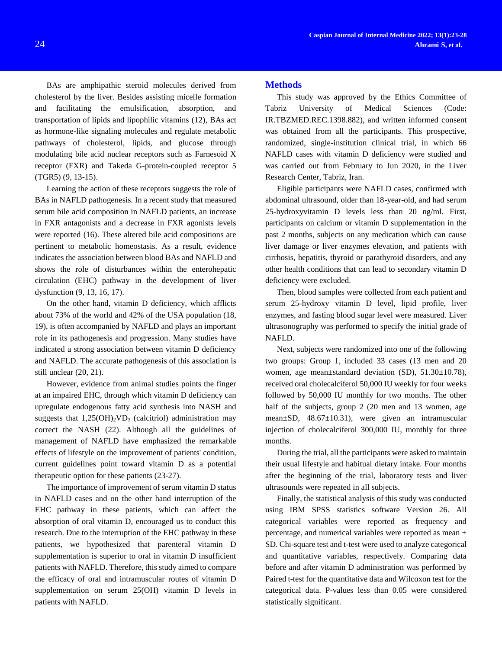BAs are amphipathic steroid molecules derived from cholesterol by the liver. Besides assisting micelle formation and facilitating the emulsification, absorption, and transportation of lipids and lipophilic vitamins (12), BAs act as hormone-like signaling molecules and regulate metabolic pathways of cholesterol, lipids, and glucose through modulating bile acid nuclear receptors such as Farnesoid X receptor (FXR) and Takeda G-protein-coupled receptor 5 (TGR5) (9, 13-15).

Learning the action of these receptors suggests the role of BAs in NAFLD pathogenesis. In a recent study that measured serum bile acid composition in NAFLD patients, an increase in FXR antagonists and a decrease in FXR agonists levels were reported (16). These altered bile acid compositions are pertinent to metabolic homeostasis. As a result, evidence indicates the association between blood BAs and NAFLD and shows the role of disturbances within the enterohepatic circulation (EHC) pathway in the development of liver dysfunction (9, 13, 16, 17).

On the other hand, vitamin D deficiency, which afflicts about 73% of the world and 42% of the USA population (18, 19), is often accompanied by NAFLD and plays an important role in its pathogenesis and progression. Many studies have indicated a strong association between vitamin D deficiency and NAFLD. The accurate pathogenesis of this association is still unclear (20, 21).

However, evidence from animal studies points the finger at an impaired EHC, through which vitamin D deficiency can upregulate endogenous fatty acid synthesis into NASH and suggests that  $1,25(OH)_2VD_3$  (calcitriol) administration may correct the NASH (22). Although all the guidelines of management of NAFLD have emphasized the remarkable effects of lifestyle on the improvement of patients' condition, current guidelines point toward vitamin D as a potential therapeutic option for these patients (23-27).

The importance of improvement of serum vitamin D status in NAFLD cases and on the other hand interruption of the EHC pathway in these patients, which can affect the absorption of oral vitamin D, encouraged us to conduct this research. Due to the interruption of the EHC pathway in these patients, we hypothesized that parenteral vitamin D supplementation is superior to oral in vitamin D insufficient patients with NAFLD. Therefore, this study aimed to compare the efficacy of oral and intramuscular routes of vitamin D supplementation on serum 25(OH) vitamin D levels in patients with NAFLD.

#### **Methods**

This study was approved by the Ethics Committee of Tabriz University of Medical Sciences (Code: IR.TBZMED.REC.1398.882), and written informed consent was obtained from all the participants. This prospective, randomized, single-institution clinical trial, in which 66 NAFLD cases with vitamin D deficiency were studied and was carried out from February to Jun 2020, in the Liver Research Center, Tabriz, Iran.

Eligible participants were NAFLD cases, confirmed with abdominal ultrasound, older than 18-year-old, and had serum 25-hydroxyvitamin D levels less than 20 ng/ml. First, participants on calcium or vitamin D supplementation in the past 2 months, subjects on any medication which can cause liver damage or liver enzymes elevation, and patients with cirrhosis, hepatitis, thyroid or parathyroid disorders, and any other health conditions that can lead to secondary vitamin D deficiency were excluded.

Then, blood samples were collected from each patient and serum 25-hydroxy vitamin D level, lipid profile, liver enzymes, and fasting blood sugar level were measured. Liver ultrasonography was performed to specify the initial grade of NAFLD.

Next, subjects were randomized into one of the following two groups: Group 1, included 33 cases (13 men and 20 women, age mean $\pm$ standard deviation (SD), 51.30 $\pm$ 10.78), received oral cholecalciferol 50,000 IU weekly for four weeks followed by 50,000 IU monthly for two months. The other half of the subjects, group 2 (20 men and 13 women, age mean±SD, 48.67±10.31), were given an intramuscular injection of cholecalciferol 300,000 IU, monthly for three months.

During the trial, all the participants were asked to maintain their usual lifestyle and habitual dietary intake. Four months after the beginning of the trial, laboratory tests and liver ultrasounds were repeated in all subjects.

Finally, the statistical analysis of this study was conducted using IBM SPSS statistics software Version 26. All categorical variables were reported as frequency and percentage, and numerical variables were reported as mean ± SD. Chi-square test and t-test were used to analyze categorical and quantitative variables, respectively. Comparing data before and after vitamin D administration was performed by Paired t-test for the quantitative data and Wilcoxon test for the categorical data. P-values less than 0.05 were considered statistically significant.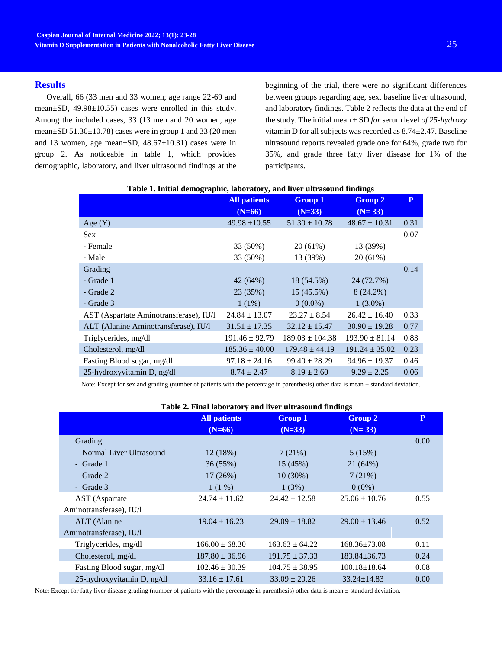#### **Results**

Overall, 66 (33 men and 33 women; age range 22-69 and mean±SD, 49.98±10.55) cases were enrolled in this study. Among the included cases, 33 (13 men and 20 women, age mean±SD 51.30±10.78) cases were in group 1 and 33 (20 men and 13 women, age mean $\pm$ SD, 48.67 $\pm$ 10.31) cases were in group 2. As noticeable in table 1, which provides demographic, laboratory, and liver ultrasound findings at the

beginning of the trial, there were no significant differences between groups regarding age, sex, baseline liver ultrasound, and laboratory findings. Table 2 reflects the data at the end of the study. The initial mean ± SD *for* serum level *of 25-hydroxy*  vitamin D for all subjects was recorded as 8.74±2.47. Baseline ultrasound reports revealed grade one for 64%, grade two for 35%, and grade three fatty liver disease for 1% of the participants.

|                                        | <b>All patients</b> | <b>Group 1</b>      | <b>Group 2</b>     | $\mathbf{P}$ |
|----------------------------------------|---------------------|---------------------|--------------------|--------------|
|                                        | $(N=66)$            | $(N=33)$            | $(N=33)$           |              |
| Age $(Y)$                              | $49.98 \pm 10.55$   | $51.30 \pm 10.78$   | $48.67 \pm 10.31$  | 0.31         |
| <b>Sex</b>                             |                     |                     |                    | 0.07         |
| - Female                               | 33 (50%)            | $20(61\%)$          | 13 (39%)           |              |
| - Male                                 | 33 (50%)            | 13 (39%)            | 20(61%)            |              |
| Grading                                |                     |                     |                    | 0.14         |
| - Grade 1                              | 42 (64%)            | 18 (54.5%)          | 24 (72.7%)         |              |
| - Grade 2                              | 23 (35%)            | 15 (45.5%)          | $8(24.2\%)$        |              |
| - Grade 3                              | $1(1\%)$            | $0(0.0\%)$          | $1(3.0\%)$         |              |
| AST (Aspartate Aminotransferase), IU/1 | $24.84 \pm 13.07$   | $23.27 \pm 8.54$    | $26.42 \pm 16.40$  | 0.33         |
| ALT (Alanine Aminotransferase), IU/l   | $31.51 \pm 17.35$   | $32.12 \pm 15.47$   | $30.90 \pm 19.28$  | 0.77         |
| Triglycerides, mg/dl                   | $191.46 \pm 92.79$  | $189.03 \pm 104.38$ | $193.90 \pm 81.14$ | 0.83         |
| Cholesterol, mg/dl                     | $185.36 \pm 40.00$  | $179.48 \pm 44.19$  | $191.24 \pm 35.02$ | 0.23         |
| Fasting Blood sugar, mg/dl             | $97.18 \pm 24.16$   | $99.40 \pm 28.29$   | $94.96 \pm 19.37$  | 0.46         |
| 25-hydroxyvitamin D, ng/dl             | $8.74 \pm 2.47$     | $8.19 \pm 2.60$     | $9.29 \pm 2.25$    | 0.06         |

### **Table 1. Initial demographic, laboratory, and liver ultrasound findings**

Note: Except for sex and grading (number of patients with the percentage in parenthesis) other data is mean  $\pm$  standard deviation.

| Table 2. Final laboratory and liver ultrasound findings |  |  |  |
|---------------------------------------------------------|--|--|--|
|---------------------------------------------------------|--|--|--|

| $\frac{1}{2}$ . Thus hold we have not all the second model $\frac{1}{2}$ |                     |                    |                    |              |  |  |
|--------------------------------------------------------------------------|---------------------|--------------------|--------------------|--------------|--|--|
|                                                                          | <b>All patients</b> | <b>Group 1</b>     | <b>Group 2</b>     | $\mathbf{P}$ |  |  |
|                                                                          | $(N=66)$            | $(N=33)$           | $(N=33)$           |              |  |  |
| Grading                                                                  |                     |                    |                    | 0.00         |  |  |
| - Normal Liver Ultrasound                                                | 12(18%)             | 7(21%)             | 5(15%)             |              |  |  |
| - Grade 1                                                                | 36(55%)             | 15 (45%)           | 21(64%)            |              |  |  |
| - Grade 2                                                                | 17(26%)             | $10(30\%)$         | 7(21%)             |              |  |  |
| - Grade 3                                                                | $1(1\%)$            | 1(3%)              | $0(0\%)$           |              |  |  |
| AST (Aspartate                                                           | $24.74 \pm 11.62$   | $24.42 \pm 12.58$  | $25.06 \pm 10.76$  | 0.55         |  |  |
| Aminotransferase), IU/l                                                  |                     |                    |                    |              |  |  |
| ALT (Alanine                                                             | $19.04 \pm 16.23$   | $29.09 \pm 18.82$  | $29.00 \pm 13.46$  | 0.52         |  |  |
| Aminotransferase), IU/l                                                  |                     |                    |                    |              |  |  |
| Triglycerides, mg/dl                                                     | $166.00 \pm 68.30$  | $163.63 + 64.22$   | $168.36\pm73.08$   | 0.11         |  |  |
| Cholesterol, mg/dl                                                       | $187.80 \pm 36.96$  | $191.75 \pm 37.33$ | $183.84 \pm 36.73$ | 0.24         |  |  |
| Fasting Blood sugar, mg/dl                                               | $102.46 \pm 30.39$  | $104.75 \pm 38.95$ | $100.18 \pm 18.64$ | 0.08         |  |  |
| 25-hydroxyvitamin D, ng/dl                                               | $33.16 \pm 17.61$   | $33.09 \pm 20.26$  | $33.24 \pm 14.83$  | 0.00         |  |  |

Note: Except for fatty liver disease grading (number of patients with the percentage in parenthesis) other data is mean ± standard deviation.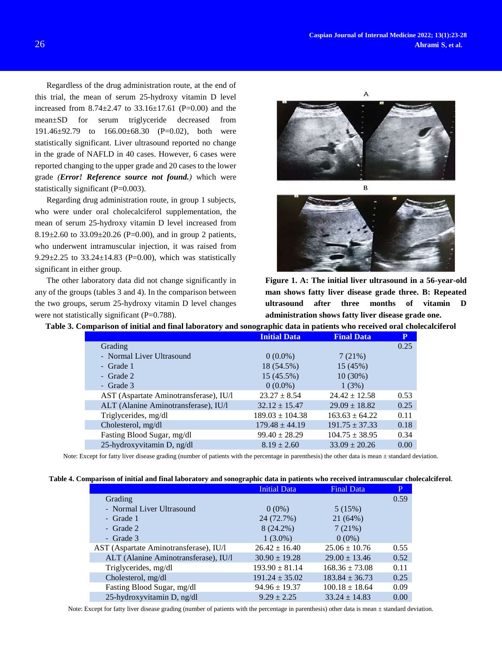Regardless of the drug administration route, at the end of this trial, the mean of serum 25-hydroxy vitamin D level increased from  $8.74 \pm 2.47$  to  $33.16 \pm 17.61$  (P=0.00) and the mean±SD for serum triglyceride decreased from 191.46±92.79 to 166.00±68.30 (P=0.02), both were statistically significant. Liver ultrasound reported no change in the grade of NAFLD in 40 cases. However, 6 cases were reported changing to the upper grade and 20 cases to the lower grade *(Error! Reference source not found.)* which were statistically significant (P=0.003).

Regarding drug administration route, in group 1 subjects, who were under oral cholecalciferol supplementation, the mean of serum 25-hydroxy vitamin D level increased from 8.19 $\pm$ 2.60 to 33.09 $\pm$ 20.26 (P=0.00), and in group 2 patients, who underwent intramuscular injection, it was raised from 9.29 $\pm$ 2.25 to 33.24 $\pm$ 14.83 (P=0.00), which was statistically significant in either group.

The other laboratory data did not change significantly in any of the groups (tables 3 and 4). In the comparison between the two groups, serum 25-hydroxy vitamin D level changes were not statistically significant (P=0.788).

A



**Figure 1. A: The initial liver ultrasound in a 56-year-old man shows fatty liver disease grade three. B: Repeated ultrasound after three months of vitamin D administration shows fatty liver disease grade one.**

**Table 3. Comparison of initial and final laboratory and sonographic data in patients who received oral cholecalciferol**

|                                        | <b>Initial Data</b> | <b>Final Data</b>  | P    |
|----------------------------------------|---------------------|--------------------|------|
| Grading                                |                     |                    | 0.25 |
| - Normal Liver Ultrasound              | $0(0.0\%)$          | 7(21%)             |      |
| - Grade 1                              | 18 (54.5%)          | 15 (45%)           |      |
| - Grade 2                              | $15(45.5\%)$        | $10(30\%)$         |      |
| - Grade $3$                            | $0(0.0\%)$          | 1(3%)              |      |
| AST (Aspartate Aminotransferase), IU/1 | $23.27 \pm 8.54$    | $24.42 \pm 12.58$  | 0.53 |
| ALT (Alanine Aminotransferase), IU/l   | $32.12 \pm 15.47$   | $29.09 \pm 18.82$  | 0.25 |
| Triglycerides, mg/dl                   | $189.03 \pm 104.38$ | $163.63 + 64.22$   | 0.11 |
| Cholesterol, mg/dl                     | $179.48 \pm 44.19$  | $191.75 \pm 37.33$ | 0.18 |
| Fasting Blood Sugar, mg/dl             | $99.40 \pm 28.29$   | $104.75 \pm 38.95$ | 0.34 |
| 25-hydroxyvitamin D, ng/dl             | $8.19 \pm 2.60$     | $33.09 \pm 20.26$  | 0.00 |

Note: Except for fatty liver disease grading (number of patients with the percentage in parenthesis) the other data is mean ± standard deviation.

|  |  |  |  | Table 4. Comparison of initial and final laboratory and sonographic data in patients who received intramuscular cholecalciferol. |
|--|--|--|--|----------------------------------------------------------------------------------------------------------------------------------|
|  |  |  |  |                                                                                                                                  |

|                                        | <b>Initial Data</b> | <b>Final Data</b>  | P    |
|----------------------------------------|---------------------|--------------------|------|
| Grading                                |                     |                    | 0.59 |
| - Normal Liver Ultrasound              | $0(0\%)$            | 5(15%)             |      |
| - Grade 1                              | 24 (72.7%)          | 21 (64%)           |      |
| - Grade 2                              | $8(24.2\%)$         | 7(21%)             |      |
| - Grade 3                              | $1(3.0\%)$          | $0(0\%)$           |      |
| AST (Aspartate Aminotransferase), IU/l | $26.42 \pm 16.40$   | $25.06 \pm 10.76$  | 0.55 |
| ALT (Alanine Aminotransferase), IU/l   | $30.90 \pm 19.28$   | $29.00 \pm 13.46$  | 0.52 |
| Triglycerides, mg/dl                   | $193.90 \pm 81.14$  | $168.36 \pm 73.08$ | 0.11 |
| Cholesterol, mg/dl                     | $191.24 \pm 35.02$  | $183.84 \pm 36.73$ | 0.25 |
| Fasting Blood Sugar, mg/dl             | $94.96 \pm 19.37$   | $100.18 \pm 18.64$ | 0.09 |
| 25-hydroxyvitamin D, ng/dl             | $9.29 \pm 2.25$     | $33.24 \pm 14.83$  | 0.00 |

Note: Except for fatty liver disease grading (number of patients with the percentage in parenthesis) other data is mean ± standard deviation.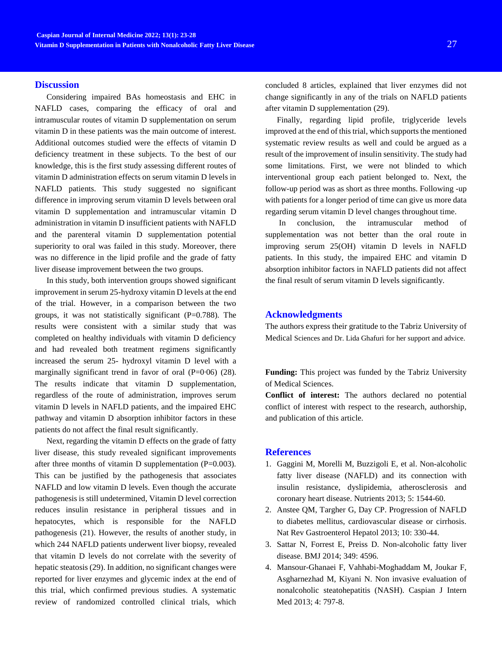#### **Discussion**

Considering impaired BAs homeostasis and EHC in NAFLD cases, comparing the efficacy of oral and intramuscular routes of vitamin D supplementation on serum vitamin D in these patients was the main outcome of interest. Additional outcomes studied were the effects of vitamin D deficiency treatment in these subjects. To the best of our knowledge, this is the first study assessing different routes of vitamin D administration effects on serum vitamin D levels in NAFLD patients. This study suggested no significant difference in improving serum vitamin D levels between oral vitamin D supplementation and intramuscular vitamin D administration in vitamin D insufficient patients with NAFLD and the parenteral vitamin D supplementation potential superiority to oral was failed in this study. Moreover, there was no difference in the lipid profile and the grade of fatty liver disease improvement between the two groups.

In this study, both intervention groups showed significant improvement in serum 25-hydroxy vitamin D levels at the end of the trial. However, in a comparison between the two groups, it was not statistically significant  $(P=0.788)$ . The results were consistent with a similar study that was completed on healthy individuals with vitamin D deficiency and had revealed both treatment regimens significantly increased the serum 25- hydroxyl vitamin D level with a marginally significant trend in favor of oral  $(P=0.06)$   $(28)$ . The results indicate that vitamin D supplementation, regardless of the route of administration, improves serum vitamin D levels in NAFLD patients, and the impaired EHC pathway and vitamin D absorption inhibitor factors in these patients do not affect the final result significantly.

Next, regarding the vitamin D effects on the grade of fatty liver disease, this study revealed significant improvements after three months of vitamin D supplementation  $(P=0.003)$ . This can be justified by the pathogenesis that associates NAFLD and low vitamin D levels. Even though the accurate pathogenesis is still undetermined, Vitamin D level correction reduces insulin resistance in peripheral tissues and in hepatocytes, which is responsible for the NAFLD pathogenesis (21). However, the results of another study, in which 244 NAFLD patients underwent liver biopsy, revealed that vitamin D levels do not correlate with the severity of hepatic steatosis (29). In addition, no significant changes were reported for liver enzymes and glycemic index at the end of this trial, which confirmed previous studies. A systematic review of randomized controlled clinical trials, which concluded 8 articles, explained that liver enzymes did not change significantly in any of the trials on NAFLD patients after vitamin D supplementation (29).

Finally, regarding lipid profile, triglyceride levels improved at the end of this trial, which supports the mentioned systematic review results as well and could be argued as a result of the improvement of insulin sensitivity. The study had some limitations. First, we were not blinded to which interventional group each patient belonged to. Next, the follow-up period was as short as three months. Following -up with patients for a longer period of time can give us more data regarding serum vitamin D level changes throughout time.

In conclusion, the intramuscular method of supplementation was not better than the oral route in improving serum 25(OH) vitamin D levels in NAFLD patients. In this study, the impaired EHC and vitamin D absorption inhibitor factors in NAFLD patients did not affect the final result of serum vitamin D levels significantly.

## **Acknowledgments**

The authors express their gratitude to the Tabriz University of Medical Sciences and Dr. Lida Ghafuri for her support and advice.

**Funding:** This project was funded by the Tabriz University of Medical Sciences.

**Conflict of interest:** The authors declared no potential conflict of interest with respect to the research, authorship, and publication of this article.

#### **References**

- 1. Gaggini M, Morelli M, Buzzigoli E, et al. Non-alcoholic fatty liver disease (NAFLD) and its connection with insulin resistance, dyslipidemia, atherosclerosis and coronary heart disease. Nutrients 2013; 5: 1544-60.
- 2. Anstee QM, Targher G, Day CP. Progression of NAFLD to diabetes mellitus, cardiovascular disease or cirrhosis. Nat Rev Gastroenterol Hepatol 2013; 10: 330-44.
- 3. Sattar N, Forrest E, Preiss D. Non-alcoholic fatty liver disease. BMJ 2014; 349: 4596.
- 4. Mansour-Ghanaei F, Vahhabi-Moghaddam M, Joukar F, Asgharnezhad M, Kiyani N. Non invasive evaluation of nonalcoholic steatohepatitis (NASH). Caspian J Intern Med 2013; 4: 797-8.